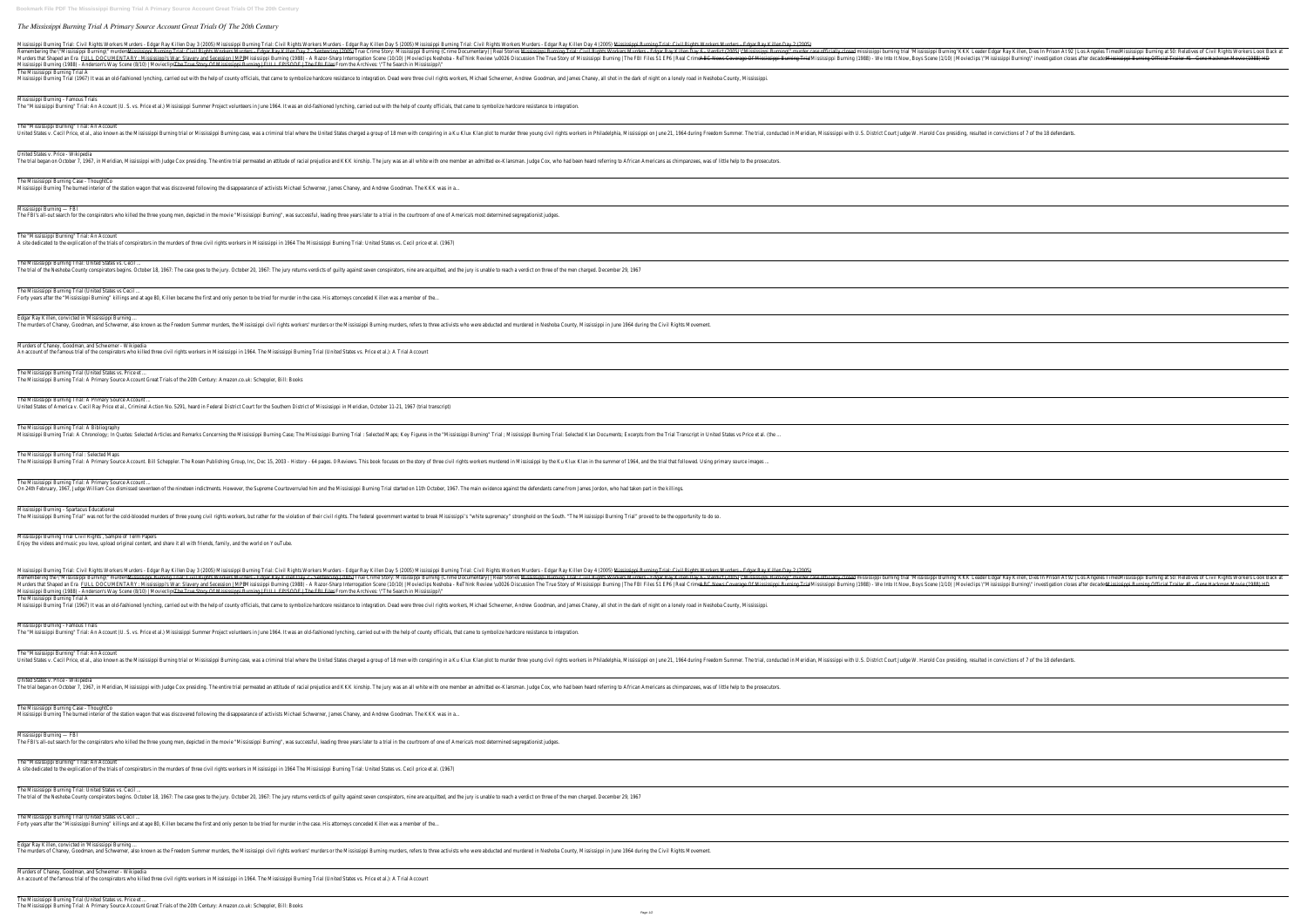## *The Mississippi Burning Trial A Primary Source Account Great Trials Of The 20th Century*

Mississippi Burning Trial: Civil Rights Workers Murders - Edgar Ray Killen Day 3 (2005) Mississippi Burning Trial: Civil Rights Workers Murders - Edgar Ray Killen Day 5 (2005) Mississippi Burning Trial: Civil Rights Worker Nississippi Burning (1998) — True Crime Stories Mississippi Burning Trial: Civil Rights Workers Murders Mississippi Burning Trial: Civil Rights Workers Murders Edgar Ray Killen Day 7 - Sentencing (2005) — True Crime Docume Mississippi's War: Slavery and Secession | MPB Mississippi Burning (1988) - A Razor-Sharp Interrogation Scene (10/10) | Movieclips Neshoba - ReThink Review \u0026 Discussion The True Story of Mississippi Burning (1988) - A Mississippi Burning (1988) - Anderson's Way Scene (8/10) | Movieclips The True Story Of Mississippi Burning | FULL EPISODE | The FBI Files From the Archives: \"The Search in Mississippi\" The Mississippi Burning Trial A Mississippi Burning Trial (1967) It was an old-fashioned lynching, carried out with the help of county officials, that came to symbolize hardcore resistance to integration. Dead were three civil rights workers, Michael Sch

Mississippi Burning - Famous Trials The "Mississippi Burning" Trial: An Account (U. S. vs. Price et al.) Mississippi Summer Project volunteers in June 1964. It was an old-fashioned lynching, carried out with the help of county officials, that came to symboli

The "Mississippi Burning" Trial: An Account United States v. Cecil Price, et al., also known as the Mississippi Burning trial or Mississippi Burning trial or Mississippi Burning case, was a criminal trial where the United States charged a group of 18 men with conspi

The Mississippi Burning Trial: United States vs. Cecil ... The trial of the Neshoba County conspirators begins. October 18, 1967: The case goes to the jury. October 20, 1967: The giry returns verdicts of guilty against seven conspirators, nine are acquitted, and the jury is unable

Edgar Ray Killen, convicted in 'Mississippi Burning ... The murders of Chaney, Goodman, and Schwerner, also known as the Freedom Summer murders, the Mississippi civil rights workers' murders or the Mississippi Burning murders, refers to three activists who were abducted and mur

Murders of Chaney, Goodman, and Schwerner - Wikipedia An account of the famous trial of the conspirators who killed three civil rights workers in Mississippi in 1964. The Mississippi Burning Trial (United States vs. Price et al.): A Trial Account

The Mississippi Burning Trial: A Bibliography Mississippi Burning Trial: A Chronology; In Quotes: Selected Articles and Remarks Concerning the Mississippi Burning Case; The Mississippi Burning Trial : Selected Maps; Key Figures in the "Mississippi Burning Trial : Sele

# United States v. Price - Wikipedia

The trial began on October 7, 1967, in Meridian, Mississippi with Judge Cox presiding. The entire trial permeated an attitude of racial prejudice and KKK kinship. The jury was an all white with one member an admitted ex-Kl

The Mississippi Burning Case - ThoughtCo

Mississippi Burning The burned interior of the station wagon that was discovered following the disappearance of activists Michael Schwerner, James Chaney, and Andrew Goodman. The KKK was in a...

Mississippi Burning — FBI

The FBI's all-out search for the conspirators who killed the three young men, depicted in the movie "Mississippi Burning", was successful, leading three years later to a trial in the courtroom of one of America's most dete

The "Mississippi Burning" Trial: An Account A site dedicated to the explication of the trials of conspirators in the murders of three civil rights workers in Mississippi in 1964 The Mississippi Burning Trial: United States vs. Cecil price et al. (1967)

The Mississippi Burning Trial (United States vs Cecil ...

Forty years after the "Mississippi Burning" killings and at age 80, Killen became the first and only person to be tried for murder in the case. His attorneys conceded Killen was a member of the..

Mississippi Burning Trial: Civil Rights Workers Murders - Edgar Ray Killen Day 3 (2005) Mississippi Burning Trial: Civil Rights Workers Murders - Edgar Ray Killen Day 5 (2005) Mississippi Burning Trial: Civil Rights Worker Remembering the \"Mississippi Burning\" murders Mississippi Burning Trial: Civil Rights Workers Murders - Edgar Ray Killen Day 7 - Sentencing (2005) True Crime Story: Mississippi Burning (Crime Documentary) | Real Stories Mississippi Burning Trial: Civil Rights Workers Murders - Edgar Ray Killen Day 6 - Verdict (2005) \"Mississippi Burning\" murder case officially closed mississippi burning trial 'Mississippi Burning' KKK Leader Edgar Ray Killen, Dies In Prison At 92 | Los Angeles Times Mississippi Burning at 50: Relatives of Civil Rights Workers Look Back at Mississippi Burning (1988) - A Razor-Sharp Interrrogation Scene (10/10) | Movieclips Nar: Slavery and Secession | MPB Mississippi Burning (1989) - A Razor-Sharp Interrogation Scene (10/10) | Movieclips Nar: Slavery and Sec Mississippi Burning (1988) - Anderson's Way Scene (8/10) | Movieclips The True Story Of Mississippi Burning | FULL EPISODE | The FBI Files From the Archives: \"The Search in Mississippi\" The Mississippi Burning Trial A

Mississippi Burning Trial (1967) It was an old-fashioned lynching, carried out with the help of county officials, that came to symbolize hardcore resistance to integration. Dead were three civil rights workers, Michael Sch

Mississippi Burning - Famous Trials The "Mississippi Burning" Trial: An Account (U. S. vs. Price et al.) Mississippi Summer Project volunteers in June 1964. It was an old-fashioned lynching, carried out with the help of county officials, that came to symboli

The "Mississippi Burning" Trial: An Account United States v. Cecil Price, et al., also known as the Mississippi Burning trial or Mississippi Burning trial or Mississippi Burning case, was a criminal trial where the United States charged a group of 18 men with conspi

#### The Mississippi Burning Trial (United States vs. Price et ...

The Mississippi Burning Trial: A Primary Source Account Great Trials of the 20th Century: Amazon.co.uk: Scheppler, Bill: Books

#### The Mississippi Burning Trial: A Primary Source Account ...

United States of America v. Cecil Ray Price et al., Criminal Action No. 5291, heard in Federal District Court for the Southern District of Mississippi in Meridian, October 11-21, 1967 (trial transcript)

The Mississippi Burning Trial (United States vs Cecil ... Forty years after the "Mississippi Burning" killings and at age 80, Killen became the first and only person to be tried for murder in the case. His attorneys conceded Killen was a member of the...

Murders of Chaney, Goodman, and Schwerner - Wikipedia An account of the famous trial of the conspirators who killed three civil rights workers in Mississippi in 1964. The Mississippi Burning Trial (United States vs. Price et al.): A Trial Account

# The Mississippi Burning Trial : Selected Maps

The Mississippi Burning Trial: A Primary Source Account. Bill Scheppler. The Rosen Publishing Group, Inc, Dec 15, 2003 - History - 64 pages. O Reviews. This book focuses on the story of three civil rights workers murdered

The Mississippi Burning Trial: A Primary Source Account ...

On 24th February, 1967, Judge William Cox dismissed seventeen of the nineteen indictments. However, the Supreme Courtoverruled him and the Mississippi Burning Trial started on 11th October, 1967. The main evidence against

Mississippi Burning - Spartacus Educational

The Mississippi Burning Trial" was not for the cold-blooded murders of three young civil rights workers, but rather for the violation of their civil rights. The federal government wanted to break Mississippi's "white supre

Mississippi Burning Trial Civil Rights , Sample of Term Papers Enjoy the videos and music you love, upload original content, and share it all with friends, family, and the world on YouTube.

#### United States v. Price - Wikipedia

The trial began on October 7, 1967, in Meridian, Mississippi with Judge Cox presiding. The entire trial permeated an attitude of racial prejudice and KKK kinship. The jury was an all white with one member an admitted ex-Kl

## The Mississippi Burning Case - ThoughtCo

Mississippi Burning The burned interior of the station wagon that was discovered following the disappearance of activists Michael Schwerner, James Chaney, and Andrew Goodman. The KKK was in a...

## Mississippi Burning — FBI

The FBI's all-out search for the conspirators who killed the three young men, depicted in the movie "Mississippi Burning", was successful, leading three years later to a trial in the courtroom of one of America's most dete

#### The "Mississippi Burning" Trial: An Account

A site dedicated to the explication of the trials of conspirators in the murders of three civil rights workers in Mississippi in 1964 The Mississippi Burning Trial: United States vs. Cecil price et al. (1967)

The Mississippi Burning Trial: United States vs. Cecil ...

The trial of the Neshoba County conspirators begins. October 18, 1967: The case goes to the jury. October 20, 1967: The iury returns verdicts of quilty against seven conspirators, nine are acquitted, and the jury is unable

Edgar Ray Killen, convicted in 'Mississippi Burning ...

The murders of Chaney, Goodman, and Schwerner, also known as the Freedom Summer murders, the Mississippi civil rights workers' murders or the Mississippi Burning murders, refers to three activists who were abducted and mur

The Mississippi Burning Trial (United States vs. Price et ...

The Mississippi Burning Trial: A Primary Source Account Great Trials of the 20th Century: Amazon.co.uk: Scheppler, Bill: Books

|                                          | the control of the control of the control of the control of the control of                                                                          |
|------------------------------------------|-----------------------------------------------------------------------------------------------------------------------------------------------------|
|                                          |                                                                                                                                                     |
|                                          | <u> 1989 - Andrea Andrew Maria (h. 1989).</u>                                                                                                       |
|                                          |                                                                                                                                                     |
|                                          |                                                                                                                                                     |
|                                          |                                                                                                                                                     |
|                                          |                                                                                                                                                     |
|                                          |                                                                                                                                                     |
|                                          |                                                                                                                                                     |
|                                          |                                                                                                                                                     |
|                                          |                                                                                                                                                     |
|                                          |                                                                                                                                                     |
|                                          |                                                                                                                                                     |
|                                          |                                                                                                                                                     |
|                                          |                                                                                                                                                     |
|                                          |                                                                                                                                                     |
|                                          |                                                                                                                                                     |
|                                          |                                                                                                                                                     |
|                                          |                                                                                                                                                     |
|                                          |                                                                                                                                                     |
|                                          |                                                                                                                                                     |
|                                          |                                                                                                                                                     |
|                                          |                                                                                                                                                     |
|                                          |                                                                                                                                                     |
| 2   Los Angeles Times<br>s after decades | Mississippi Burning at 50: Relatives of Civil Rights Workers Look Back at<br>Mississippi Burning Official Trailer #1 - Gene Hackman Movie (1988) HD |
|                                          |                                                                                                                                                     |
|                                          |                                                                                                                                                     |
|                                          | <u> 1989 - Andrea Santana, amerikana amerikana amerikana amerikana amerikana amerikana amerikana amerikana amerika</u>                              |
|                                          |                                                                                                                                                     |
|                                          | <u> 1989 - Andrea Santana, amerikana amerikana amerikana amerikana amerikana amerikana amerikana amerikana amerika</u>                              |
|                                          |                                                                                                                                                     |
|                                          |                                                                                                                                                     |
|                                          |                                                                                                                                                     |
|                                          |                                                                                                                                                     |
|                                          |                                                                                                                                                     |
|                                          |                                                                                                                                                     |
|                                          |                                                                                                                                                     |
|                                          |                                                                                                                                                     |
|                                          |                                                                                                                                                     |
|                                          |                                                                                                                                                     |
|                                          |                                                                                                                                                     |
|                                          |                                                                                                                                                     |